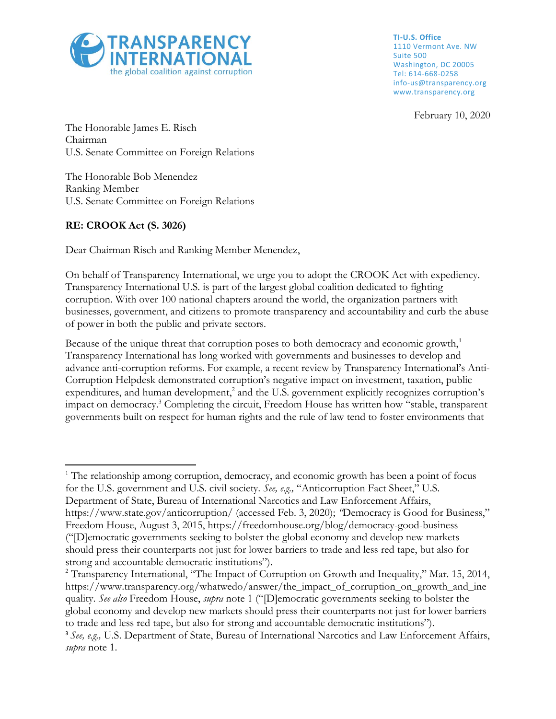

**TI-U.S. Office** 1110 Vermont Ave. NW Suite 500 Washington, DC 20005 Tel: 614-668-0258 info-us@transparency.org www.transparency.org

February 10, 2020

The Honorable James E. Risch Chairman U.S. Senate Committee on Foreign Relations

The Honorable Bob Menendez Ranking Member U.S. Senate Committee on Foreign Relations

## **RE: CROOK Act (S. 3026)**

 $\overline{\phantom{a}}$ 

Dear Chairman Risch and Ranking Member Menendez,

On behalf of Transparency International, we urge you to adopt the CROOK Act with expediency. Transparency International U.S. is part of the largest global coalition dedicated to fighting corruption. With over 100 national chapters around the world, the organization partners with businesses, government, and citizens to promote transparency and accountability and curb the abuse of power in both the public and private sectors.

Because of the unique threat that corruption poses to both democracy and economic growth, $<sup>1</sup>$ </sup> Transparency International has long worked with governments and businesses to develop and advance anti-corruption reforms. For example, a recent review by Transparency International's Anti-Corruption Helpdesk demonstrated corruption's negative impact on investment, taxation, public expenditures, and human development,<sup>2</sup> and the U.S. government explicitly recognizes corruption's impact on democracy.<sup>3</sup> Completing the circuit, Freedom House has written how "stable, transparent governments built on respect for human rights and the rule of law tend to foster environments that

<sup>&</sup>lt;sup>1</sup> The relationship among corruption, democracy, and economic growth has been a point of focus for the U.S. government and U.S. civil society. *See, e.g.,* "Anticorruption Fact Sheet," U.S. Department of State, Bureau of International Narcotics and Law Enforcement Affairs, https://www.state.gov/anticorruption/ (accessed Feb. 3, 2020); *"*Democracy is Good for Business," Freedom House, August 3, 2015, https://freedomhouse.org/blog/democracy-good-business ("[D]emocratic governments seeking to bolster the global economy and develop new markets should press their counterparts not just for lower barriers to trade and less red tape, but also for strong and accountable democratic institutions").

<sup>&</sup>lt;sup>2</sup> Transparency International, "The Impact of Corruption on Growth and Inequality," Mar. 15, 2014, https://www.transparency.org/whatwedo/answer/the\_impact\_of\_corruption\_on\_growth\_and\_ine quality. *See also* Freedom House, *supra* note 1 ("[D]emocratic governments seeking to bolster the global economy and develop new markets should press their counterparts not just for lower barriers to trade and less red tape, but also for strong and accountable democratic institutions").

<sup>3</sup> *See, e.g.,* U.S. Department of State, Bureau of International Narcotics and Law Enforcement Affairs, *supra* note 1.